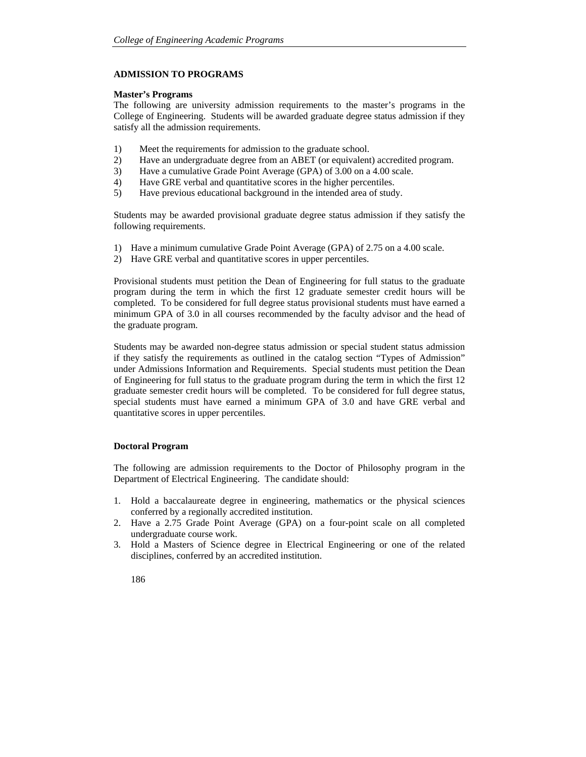## **ADMISSION TO PROGRAMS**

#### **Master's Programs**

The following are university admission requirements to the master's programs in the College of Engineering. Students will be awarded graduate degree status admission if they satisfy all the admission requirements.

- 1) Meet the requirements for admission to the graduate school.
- 2) Have an undergraduate degree from an ABET (or equivalent) accredited program.
- 3) Have a cumulative Grade Point Average (GPA) of 3.00 on a 4.00 scale.
- 4) Have GRE verbal and quantitative scores in the higher percentiles.
- 5) Have previous educational background in the intended area of study.

Students may be awarded provisional graduate degree status admission if they satisfy the following requirements.

- 1) Have a minimum cumulative Grade Point Average (GPA) of 2.75 on a 4.00 scale.
- 2) Have GRE verbal and quantitative scores in upper percentiles.

Provisional students must petition the Dean of Engineering for full status to the graduate program during the term in which the first 12 graduate semester credit hours will be completed. To be considered for full degree status provisional students must have earned a minimum GPA of 3.0 in all courses recommended by the faculty advisor and the head of the graduate program.

Students may be awarded non-degree status admission or special student status admission if they satisfy the requirements as outlined in the catalog section "Types of Admission" under Admissions Information and Requirements. Special students must petition the Dean of Engineering for full status to the graduate program during the term in which the first 12 graduate semester credit hours will be completed. To be considered for full degree status, special students must have earned a minimum GPA of 3.0 and have GRE verbal and quantitative scores in upper percentiles.

## **Doctoral Program**

The following are admission requirements to the Doctor of Philosophy program in the Department of Electrical Engineering. The candidate should:

- 1. Hold a baccalaureate degree in engineering, mathematics or the physical sciences conferred by a regionally accredited institution.
- 2. Have a 2.75 Grade Point Average (GPA) on a four-point scale on all completed undergraduate course work.
- 3. Hold a Masters of Science degree in Electrical Engineering or one of the related disciplines, conferred by an accredited institution.
	- 186